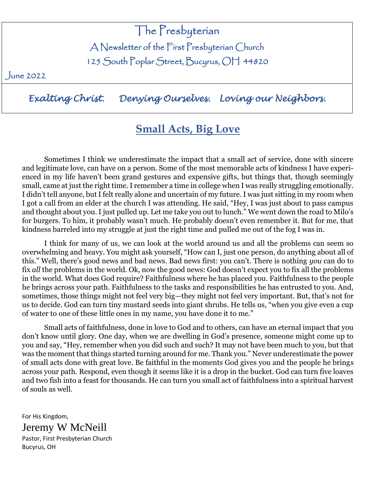# The Presbyterian

A Newsletter of the First Presbyterian Church

125 South Poplar Street, Bucyrus, OH 44820

June 2022

*Exalting Christ. Denying Ourselves. Loving our Neighbors.* 

# **Small Acts, Big Love**

Sometimes I think we underestimate the impact that a small act of service, done with sincere and legitimate love, can have on a person. Some of the most memorable acts of kindness I have experienced in my life haven't been grand gestures and expensive gifts, but things that, though seemingly small, came at just the right time. I remember a time in college when I was really struggling emotionally. I didn't tell anyone, but I felt really alone and uncertain of my future. I was just sitting in my room when I got a call from an elder at the church I was attending. He said, "Hey, I was just about to pass campus and thought about you. I just pulled up. Let me take you out to lunch." We went down the road to Milo's for burgers. To him, it probably wasn't much. He probably doesn't even remember it. But for me, that kindness barreled into my struggle at just the right time and pulled me out of the fog I was in.

I think for many of us, we can look at the world around us and all the problems can seem so overwhelming and heavy. You might ask yourself, "How can I, just one person, do anything about all of this." Well, there's good news and bad news. Bad news first: you can't. There is nothing *you* can do to fix *all* the problems in the world. Ok, now the good news: God doesn't expect you to fix all the problems in the world. What does God require? Faithfulness where he has placed you. Faithfulness to the people he brings across your path. Faithfulness to the tasks and responsibilities he has entrusted to you. And, sometimes, those things might not feel very big—they might not feel very important. But, that's not for us to decide. God can turn tiny mustard seeds into giant shrubs. He tells us, "when you give even a cup of water to one of these little ones in my name, you have done it to me."

Small acts of faithfulness, done in love to God and to others, can have an eternal impact that you don't know until glory. One day, when we are dwelling in God's presence, someone might come up to you and say, "Hey, remember when you did such and such? It may not have been much to you, but that was the moment that things started turning around for me. Thank you." Never underestimate the power of small acts done with great love. Be faithful in the moments God gives you and the people he brings across your path. Respond, even though it seems like it is a drop in the bucket. God can turn five loaves and two fish into a feast for thousands. He can turn you small act of faithfulness into a spiritual harvest of souls as well.

For His Kingdom, Jeremy W McNeill Pastor, First Presbyterian Church Bucyrus, OH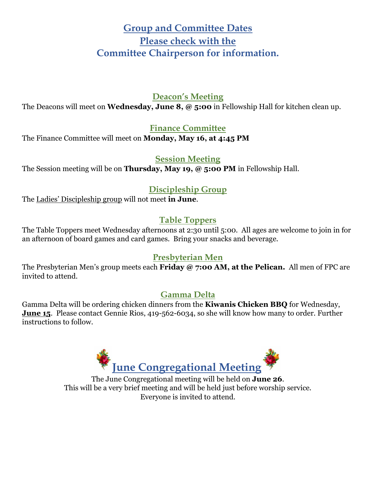# **Group and Committee Dates Please check with the Committee Chairperson for information.**

## **Deacon's Meeting**

The Deacons will meet on **Wednesday, June 8, @ 5:00** in Fellowship Hall for kitchen clean up.

### **Finance Committee**

The Finance Committee will meet on **Monday, May 16, at 4:45 PM**

### **Session Meeting**

The Session meeting will be on **Thursday, May 19, @ 5:00 PM** in Fellowship Hall.

## **Discipleship Group**

The Ladies' Discipleship group will not meet **in June**.

## **Table Toppers**

The Table Toppers meet Wednesday afternoons at 2:30 until 5:00. All ages are welcome to join in for an afternoon of board games and card games. Bring your snacks and beverage.

## **Presbyterian Men**

The Presbyterian Men's group meets each **Friday @ 7:00 AM, at the Pelican.** All men of FPC are invited to attend.

## **Gamma Delta**

Gamma Delta will be ordering chicken dinners from the **Kiwanis Chicken BBQ** for Wednesday, **June 15**. Please contact Gennie Rios, 419-562-6034, so she will know how many to order. Further instructions to follow.



The June Congregational meeting will be held on **June 26**. This will be a very brief meeting and will be held just before worship service. Everyone is invited to attend.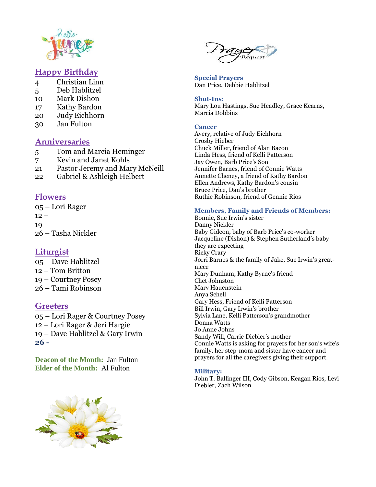

#### **Happy Birthday**

- 4 Christian Linn
- 5 Deb Hablitzel
- 10 Mark Dishon
- 17 Kathy Bardon
- 20 Judy Eichhorn
- 30 Jan Fulton

#### **Anniversaries**

- 5 Tom and Marcia Heminger
- 7 Kevin and Janet Kohls
- 21 Pastor Jeremy and Mary McNeill
- 22 Gabriel & Ashleigh Helbert

#### **Flowers**

05 – Lori Rager  $12 19 -$ 26 – Tasha Nickler

#### **Liturgist**

– Dave Hablitzel – Tom Britton – Courtney Posey – Tami Robinson

#### **Greeters**

– Lori Rager & Courtney Posey – Lori Rager & Jeri Hargie – Dave Hablitzel & Gary Irwin **26 -**

**Deacon of the Month:** Jan Fulton **Elder of the Month:** Al Fulton





**Special Prayers** Dan Price, Debbie Hablitzel

**Shut-Ins:** Mary Lou Hastings, Sue Headley, Grace Kearns, Marcia Dobbins

#### **Cancer**

Avery, relative of Judy Eichhorn Crosby Hieber Chuck Miller, friend of Alan Bacon Linda Hess, friend of Kelli Patterson Jay Owen, Barb Price's Son Jennifer Barnes, friend of Connie Watts Annette Cheney, a friend of Kathy Bardon Ellen Andrews, Kathy Bardon's cousin Bruce Price, Dan's brother Ruthie Robinson, friend of Gennie Rios

#### **Members, Family and Friends of Members:**

Bonnie, Sue Irwin's sister Danny Nickler Baby Gideon, baby of Barb Price's co-worker Jacqueline (Dishon) & Stephen Sutherland's baby they are expecting Ricky Crary Jorri Barnes & the family of Jake, Sue Irwin's greatniece Mary Dunham, Kathy Byrne's friend Chet Johnston Marv Hauenstein Anya Schell Gary Hess, Friend of Kelli Patterson Bill Irwin, Gary Irwin's brother Sylvia Lane, Kelli Patterson's grandmother Donna Watts Jo Anne Johns Sandy Will, Carrie Diebler's mother Connie Watts is asking for prayers for her son's wife's family, her step-mom and sister have cancer and prayers for all the caregivers giving their support.

#### **Military:**

John T. Ballinger III, Cody Gibson, Keagan Rios, Levi Diebler, Zach Wilson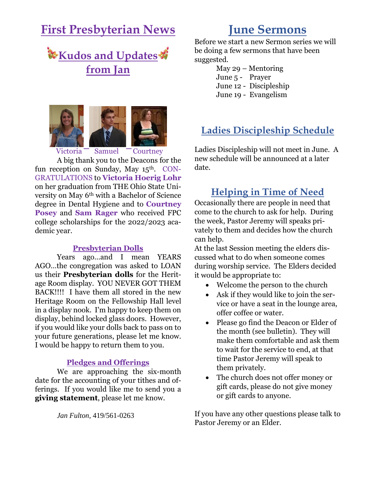# **First Presbyterian News**





Victoria Samuel Courtney

A big thank you to the Deacons for the fun reception on Sunday, May 15<sup>th</sup>. CON-GRATULATIONS to **Victoria Hoerig Lohr** on her graduation from THE Ohio State University on May 6th with a Bachelor of Science degree in Dental Hygiene and to **Courtney Posey** and **Sam Rager** who received FPC college scholarships for the 2022/2023 academic year.

#### **Presbyterian Dolls**

Years ago…and I mean YEARS AGO…the congregation was asked to LOAN us their **Presbyterian dolls** for the Heritage Room display. YOU NEVER GOT THEM BACK!!!! I have them all stored in the new Heritage Room on the Fellowship Hall level in a display nook. I'm happy to keep them on display, behind locked glass doors. However, if you would like your dolls back to pass on to your future generations, please let me know. I would be happy to return them to you.

#### **Pledges and Offerings**

We are approaching the six-month date for the accounting of your tithes and offerings. If you would like me to send you a **giving statement**, please let me know.

*Jan Fulton*, 419/561-0263

# **June Sermons**

Before we start a new Sermon series we will be doing a few sermons that have been suggested.

May 29 – Mentoring

- June 5 Prayer
- June 12 Discipleship
- June 19 Evangelism

# **Ladies Discipleship Schedule**

Ladies Discipleship will not meet in June. A new schedule will be announced at a later date.

## **Helping in Time of Need**

Occasionally there are people in need that come to the church to ask for help. During the week, Pastor Jeremy will speaks privately to them and decides how the church can help.

At the last Session meeting the elders discussed what to do when someone comes during worship service. The Elders decided it would be appropriate to:

- Welcome the person to the church
- Ask if they would like to join the service or have a seat in the lounge area, offer coffee or water.
- Please go find the Deacon or Elder of the month (see bulletin). They will make them comfortable and ask them to wait for the service to end, at that time Pastor Jeremy will speak to them privately.
- The church does not offer money or gift cards, please do not give money or gift cards to anyone.

If you have any other questions please talk to Pastor Jeremy or an Elder.